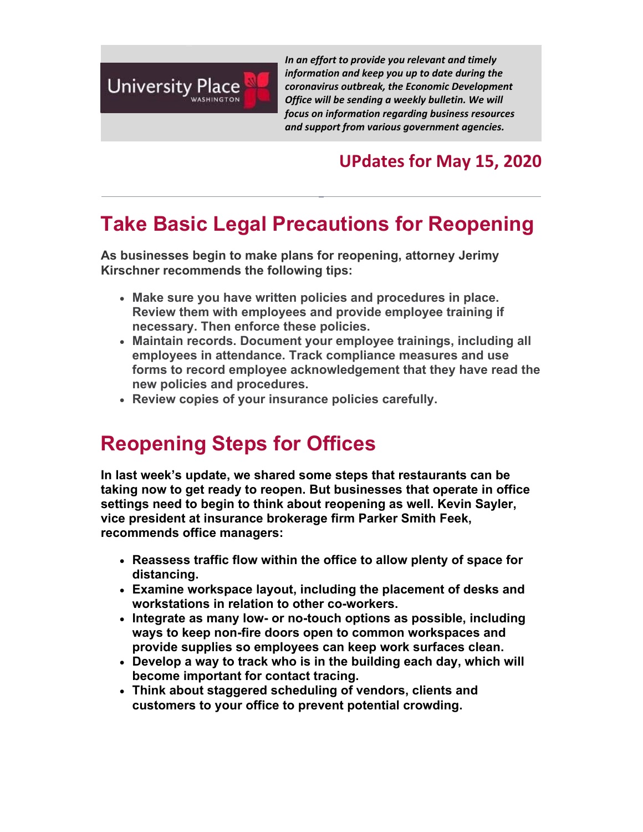

*In an effort to provide you relevant and timely information and keep you up to date during the coronavirus outbreak, the Economic Development Office will be sending a weekly bulletin. We will focus on information regarding business resources and support from various government agencies.*

#### **UPdates for May 15, 2020**

# **Take Basic Legal Precautions for Reopening**

**As businesses begin to make plans for reopening, attorney Jerimy Kirschner recommends the following tips:**

- **Make sure you have written policies and procedures in place. Review them with employees and provide employee training if necessary. Then enforce these policies.**
- **Maintain records. Document your employee trainings, including all employees in attendance. Track compliance measures and use forms to record employee acknowledgement that they have read the new policies and procedures.**
- **Review copies of your insurance policies carefully.**

# **Reopening Steps for Offices**

**In last week's update, we shared some steps that restaurants can be taking now to get ready to reopen. But businesses that operate in office settings need to begin to think about reopening as well. Kevin Sayler, vice president at insurance brokerage firm Parker Smith Feek, recommends office managers:** 

- **Reassess traffic flow within the office to allow plenty of space for distancing.**
- **Examine workspace layout, including the placement of desks and workstations in relation to other co-workers.**
- **Integrate as many low- or no-touch options as possible, including ways to keep non-fire doors open to common workspaces and provide supplies so employees can keep work surfaces clean.**
- **Develop a way to track who is in the building each day, which will become important for contact tracing.**
- **Think about staggered scheduling of vendors, clients and customers to your office to prevent potential crowding.**